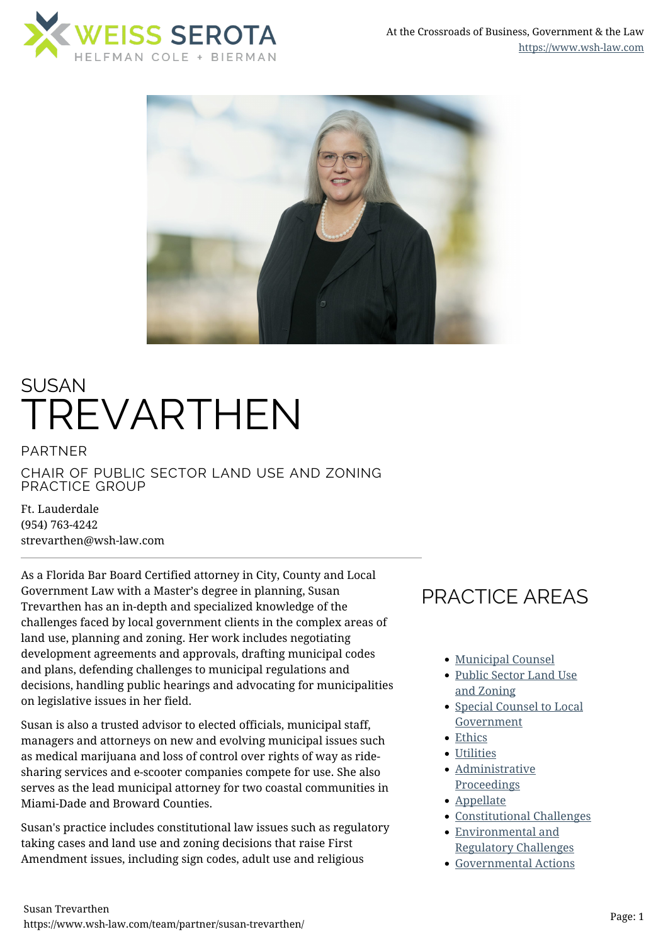



# SUSAN TREVARTHEN

PARTNER CHAIR OF PUBLIC SECTOR LAND USE AND ZONING PRACTICE GROUP

Ft. Lauderdale (954) 763-4242 strevarthen@wsh-law.com

As a Florida Bar Board Certified attorney in City, County and Local Government Law with a Master's degree in planning, Susan Trevarthen has an in-depth and specialized knowledge of the challenges faced by local government clients in the complex areas of land use, planning and zoning. Her work includes negotiating development agreements and approvals, drafting municipal codes and plans, defending challenges to municipal regulations and decisions, handling public hearings and advocating for municipalities on legislative issues in her field.

Susan is also a trusted advisor to elected officials, municipal staff, managers and attorneys on new and evolving municipal issues such as medical marijuana and loss of control over rights of way as ridesharing services and e-scooter companies compete for use. She also serves as the lead municipal attorney for two coastal communities in Miami-Dade and Broward Counties.

Susan's practice includes constitutional law issues such as regulatory taking cases and land use and zoning decisions that raise First Amendment issues, including sign codes, adult use and religious

# PRACTICE AREAS

- [Municipal Counsel](https://www.wsh-law.com/practices/government/municipal-counsel/)
- [Public Sector Land Use](https://www.wsh-law.com/practices/government/public-sector-land-use-and-zoning/) [and Zoning](https://www.wsh-law.com/practices/government/public-sector-land-use-and-zoning/)
- [Special Counsel to Local](https://www.wsh-law.com/practices/government/special-counsel-to-local-government/) [Government](https://www.wsh-law.com/practices/government/special-counsel-to-local-government/)
- [Ethics](https://www.wsh-law.com/practices/government/ethics/)
- [Utilities](https://www.wsh-law.com/practices/government/utilities/)
- [Administrative](https://www.wsh-law.com/practices/litigation/administrative-proceedings/) [Proceedings](https://www.wsh-law.com/practices/litigation/administrative-proceedings/)
- [Appellate](https://www.wsh-law.com/practices/litigation/appellate/)
- [Constitutional Challenges](https://www.wsh-law.com/practices/litigation/constitutional-challenges/)
- [Environmental and](https://www.wsh-law.com/practices/litigation/environmental-and-regulatory-challenges/) [Regulatory Challenges](https://www.wsh-law.com/practices/litigation/environmental-and-regulatory-challenges/)
- [Governmental Actions](https://www.wsh-law.com/practices/litigation/governmental-actions-and-defense/)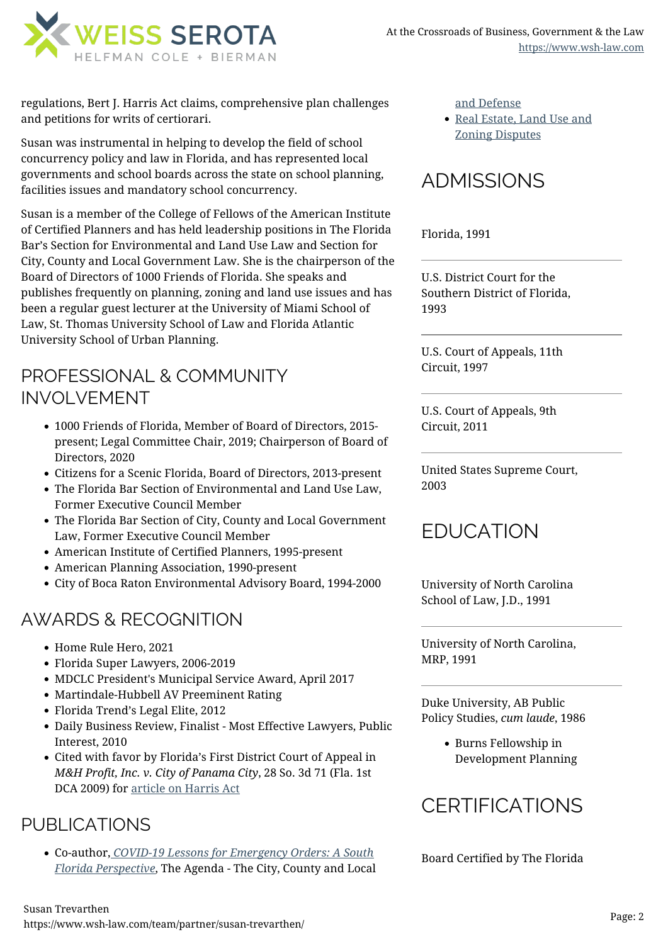

regulations, Bert J. Harris Act claims, comprehensive plan challenges and petitions for writs of certiorari.

Susan was instrumental in helping to develop the field of school concurrency policy and law in Florida, and has represented local governments and school boards across the state on school planning, facilities issues and mandatory school concurrency.

Susan is a member of the College of Fellows of the American Institute of Certified Planners and has held leadership positions in The Florida Bar's Section for Environmental and Land Use Law and Section for City, County and Local Government Law. She is the chairperson of the Board of Directors of 1000 Friends of Florida. She speaks and publishes frequently on planning, zoning and land use issues and has been a regular guest lecturer at the University of Miami School of Law, St. Thomas University School of Law and Florida Atlantic University School of Urban Planning.

### PROFESSIONAL & COMMUNITY INVOLVEMENT

- 1000 Friends of Florida, Member of Board of Directors, 2015 present; Legal Committee Chair, 2019; Chairperson of Board of Directors, 2020
- Citizens for a Scenic Florida, Board of Directors, 2013-present
- The Florida Bar Section of Environmental and Land Use Law, Former Executive Council Member
- The Florida Bar Section of City, County and Local Government Law, Former Executive Council Member
- American Institute of Certified Planners, 1995-present
- American Planning Association, 1990-present
- City of Boca Raton Environmental Advisory Board, 1994-2000

### AWARDS & RECOGNITION

- Home Rule Hero, 2021
- Florida Super Lawyers, 2006-2019
- MDCLC President's Municipal Service Award, April 2017
- Martindale-Hubbell AV Preeminent Rating
- Florida Trend's Legal Elite, 2012
- Daily Business Review, Finalist Most Effective Lawyers, Public Interest, 2010
- Cited with favor by Florida's First District Court of Appeal in *M&H Profit, Inc. v. City of Panama City*, 28 So. 3d 71 (Fla. 1st DCA 2009) for [article on Harris Act](https://www.floridabar.org/divcom/jn/jnjournal01.nsf/Author/29DBBCF7355AEB1F85256.%20EC20049ADD1)

### PUBLICATIONS

Co-author, *[COVID-19 Lessons for Emergency Orders: A South](https://s3.us-east-1.amazonaws.com/fonteva-customer-media/00D36000000ZPDjEAO/gMOKcgLG_CCLG_Fall_Winter_2020_pdf) [Florida Perspective](https://s3.us-east-1.amazonaws.com/fonteva-customer-media/00D36000000ZPDjEAO/gMOKcgLG_CCLG_Fall_Winter_2020_pdf)*, The Agenda - The City, County and Local [Real Estate, Land Use and](https://www.wsh-law.com/practices/litigation/real-estate-land-use-and-zoning-disputes/) [Zoning Disputes](https://www.wsh-law.com/practices/litigation/real-estate-land-use-and-zoning-disputes/)

# ADMISSIONS

Florida, 1991

U.S. District Court for the Southern District of Florida, 1993

U.S. Court of Appeals, 11th Circuit, 1997

U.S. Court of Appeals, 9th Circuit, 2011

United States Supreme Court, 2003

## EDUCATION

University of North Carolina School of Law, J.D., 1991

University of North Carolina, MRP, 1991

Duke University, AB Public Policy Studies, *cum laude*, 1986

> Burns Fellowship in Development Planning

# **CERTIFICATIONS**

Board Certified by The Florida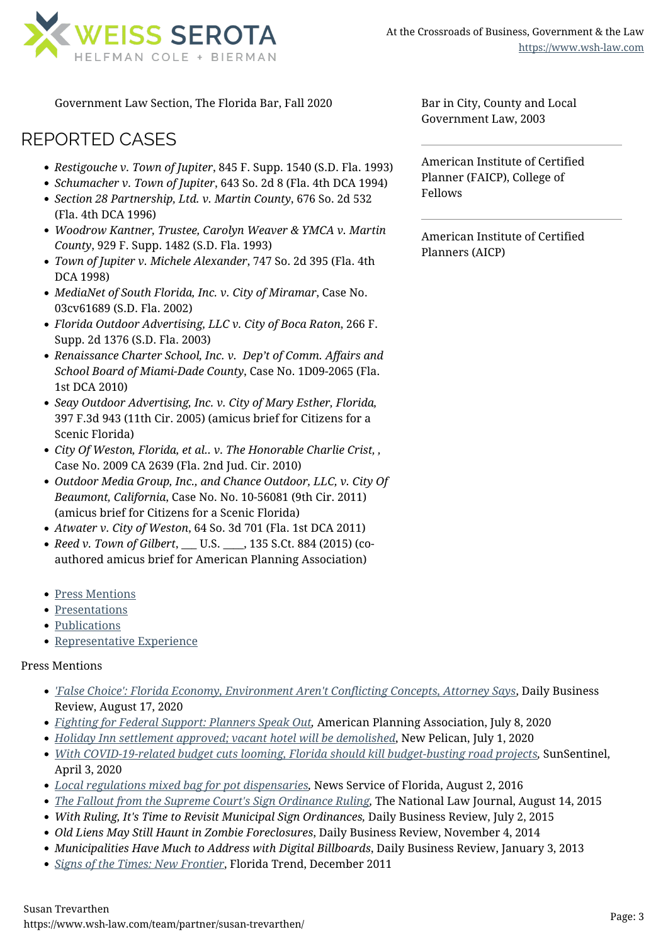

Government Law Section, The Florida Bar, Fall 2020

### REPORTED CASES

- *Restigouche v. Town of Jupiter*, 845 F. Supp. 1540 (S.D. Fla. 1993)
- *Schumacher v. Town of Jupiter*, 643 So. 2d 8 (Fla. 4th DCA 1994)
- *Section 28 Partnership, Ltd. v. Martin County*, 676 So. 2d 532 (Fla. 4th DCA 1996)
- *Woodrow Kantner, Trustee, Carolyn Weaver & YMCA v. Martin County*, 929 F. Supp. 1482 (S.D. Fla. 1993)
- *Town of Jupiter v. Michele Alexander*, 747 So. 2d 395 (Fla. 4th DCA 1998)
- *MediaNet of South Florida, Inc. v. City of Miramar*, Case No. 03cv61689 (S.D. Fla. 2002)
- *Florida Outdoor Advertising, LLC v. City of Boca Raton*, 266 F. Supp. 2d 1376 (S.D. Fla. 2003)
- *Renaissance Charter School, Inc. v. Dep't of Comm. Affairs and School Board of Miami-Dade County*, Case No. 1D09-2065 (Fla. 1st DCA 2010)
- *Seay Outdoor Advertising, Inc. v. City of Mary Esther, Florida,* 397 F.3d 943 (11th Cir. 2005) (amicus brief for Citizens for a Scenic Florida)
- *City Of Weston, Florida, et al.. v. The Honorable Charlie Crist, ,* Case No. 2009 CA 2639 (Fla. 2nd Jud. Cir. 2010)
- *Outdoor Media Group, Inc., and Chance Outdoor, LLC, v. City Of Beaumont, California*, Case No. No. 10-56081 (9th Cir. 2011) (amicus brief for Citizens for a Scenic Florida)
- *Atwater v. City of Weston*, 64 So. 3d 701 (Fla. 1st DCA 2011)
- *Reed v. Town of Gilbert*, \_\_\_ U.S. \_\_\_\_, 135 S.Ct. 884 (2015) (coauthored amicus brief for American Planning Association)
- [Press Mentions](#page--1-0)
- [Presentations](#page--1-0)
- [Publications](#page--1-0)
- [Representative Experience](#page--1-0)

#### Press Mentions

- *['False Choice': Florida Economy, Environment Aren't Conflicting Concepts, Attorney Says](https://www.law.com/dailybusinessreview/2020/08/17/false-choice-florida-economy-environment-arent-conflicting-concepts-attorney-says/)*, Daily Business Review, August 17, 2020
- *[Fighting for Federal Support: Planners Speak Out,](https://www.planning.org/blog/9202556/fighting-for-federal-support-planners-speak-out/)* American Planning Association, July 8, 2020
- *[Holiday Inn settlement approved; vacant hotel will be demolished](https://www.newpelican.com/articles/holiday-inn/)*, New Pelican, July 1, 2020
- *[With COVID-19-related budget cuts looming, Florida should kill budget-busting road projects](https://www.sun-sentinel.com/opinion/commentary/fl-op-com-trevarthen-florida-legislature-funding-coronavirus-roads-20200403-ihq56ywzpzfttaogzschtimu6y-story.html),* SunSentinel, April 3, 2020
- *[Local regulations mixed bag for pot dispensaries,](https://www.wsh-law.com/news-updates/in-the-news/local-regulations-mixed-bag-for-pot-dispensaries/)* News Service of Florida, August 2, 2016
- *[The Fallout from the Supreme Court's Sign Ordinance Ruling](https://www.wsh-law.com/news-updates/in-the-news/the-fallout-from-the-supreme-courts-sign-ordinance-ruling/),* The National Law Journal, August 14, 2015
- *With Ruling, It's Time to Revisit Municipal Sign Ordinances,* Daily Business Review, July 2, 2015
- *Old Liens May Still Haunt in Zombie Foreclosures*, Daily Business Review, November 4, 2014
- *Municipalities Have Much to Address with Digital Billboards*, Daily Business Review, January 3, 2013
- *[Signs of the Times: New Frontier](https://www.wsh-law.com/news-updates/in-the-news/signs-of-the-times-new-frontier/)*, Florida Trend, December 2011

Bar in City, County and Local Government Law, 2003

American Institute of Certified Planner (FAICP), College of Fellows

American Institute of Certified Planners (AICP)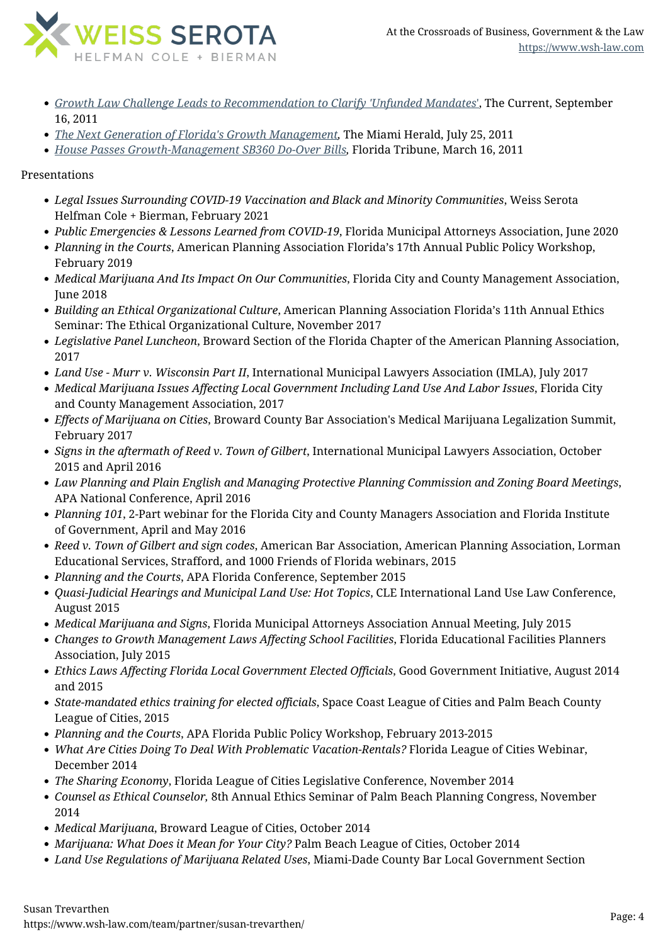

- *[Growth Law Challenge Leads to Recommendation to Clarify 'Unfunded Mandates](https://www.wsh-law.com/news-updates/in-the-news/growth-law-challenge-leads-to-recommendation-to-clarify-unfunded-mandates/)*['](https://www.wsh-law.com/news-updates/in-the-news/growth-law-challenge-leads-to-recommendation-to-clarify-unfunded-mandates/), The Current, September 16, 2011
- *[The Next Generation of Florida's Growth Management](https://www.wsh-law.com/news-updates/in-the-news/the-next-generation-of-floridas-growth-management/),* The Miami Herald, July 25, 2011
- *[House Passes Growth-Management SB360 Do-Over Bills,](https://www.wsh-law.com/news-updates/in-the-news/house-passes-growth-management-sb360-do-over-bills/)* Florida Tribune, March 16, 2011

#### Presentations

- *Legal Issues Surrounding COVID-19 Vaccination and Black and Minority Communities*, Weiss Serota Helfman Cole + Bierman, February 2021
- *Public Emergencies & Lessons Learned from COVID-19*, Florida Municipal Attorneys Association, June 2020
- *Planning in the Courts*, American Planning Association Florida's 17th Annual Public Policy Workshop, February 2019
- *Medical Marijuana And Its Impact On Our Communities*, Florida City and County Management Association, June 2018
- *Building an Ethical Organizational Culture*, American Planning Association Florida's 11th Annual Ethics Seminar: The Ethical Organizational Culture, November 2017
- *Legislative Panel Luncheon*, Broward Section of the Florida Chapter of the American Planning Association, 2017
- *Land Use Murr v. Wisconsin Part II*, International Municipal Lawyers Association (IMLA), July 2017
- *Medical Marijuana Issues Affecting Local Government Including Land Use And Labor Issues*, Florida City and County Management Association, 2017
- *Effects of Marijuana on Cities*, Broward County Bar Association's Medical Marijuana Legalization Summit, February 2017
- *Signs in the aftermath of Reed v. Town of Gilbert*, International Municipal Lawyers Association, October 2015 and April 2016
- *Law Planning and Plain English and Managing Protective Planning Commission and Zoning Board Meetings*, APA National Conference, April 2016
- *Planning 101*, 2-Part webinar for the Florida City and County Managers Association and Florida Institute of Government, April and May 2016
- *Reed v. Town of Gilbert and sign codes*, American Bar Association, American Planning Association, Lorman Educational Services, Strafford, and 1000 Friends of Florida webinars, 2015
- *Planning and the Courts*, APA Florida Conference, September 2015
- *Quasi-Judicial Hearings and Municipal Land Use: Hot Topics*, CLE International Land Use Law Conference, August 2015
- *Medical Marijuana and Signs*, Florida Municipal Attorneys Association Annual Meeting, July 2015
- *Changes to Growth Management Laws Affecting School Facilities*, Florida Educational Facilities Planners Association, July 2015
- *Ethics Laws Affecting Florida Local Government Elected Officials*, Good Government Initiative, August 2014 and 2015
- *State-mandated ethics training for elected officials*, Space Coast League of Cities and Palm Beach County League of Cities, 2015
- *Planning and the Courts*, APA Florida Public Policy Workshop, February 2013-2015
- *What Are Cities Doing To Deal With Problematic Vacation-Rentals?* Florida League of Cities Webinar, December 2014
- *The Sharing Economy*, Florida League of Cities Legislative Conference, November 2014
- *Counsel as Ethical Counselor,* 8th Annual Ethics Seminar of Palm Beach Planning Congress, November 2014
- *Medical Marijuana*, Broward League of Cities, October 2014
- *Marijuana: What Does it Mean for Your City?* Palm Beach League of Cities, October 2014
- *Land Use Regulations of Marijuana Related Uses*, Miami-Dade County Bar Local Government Section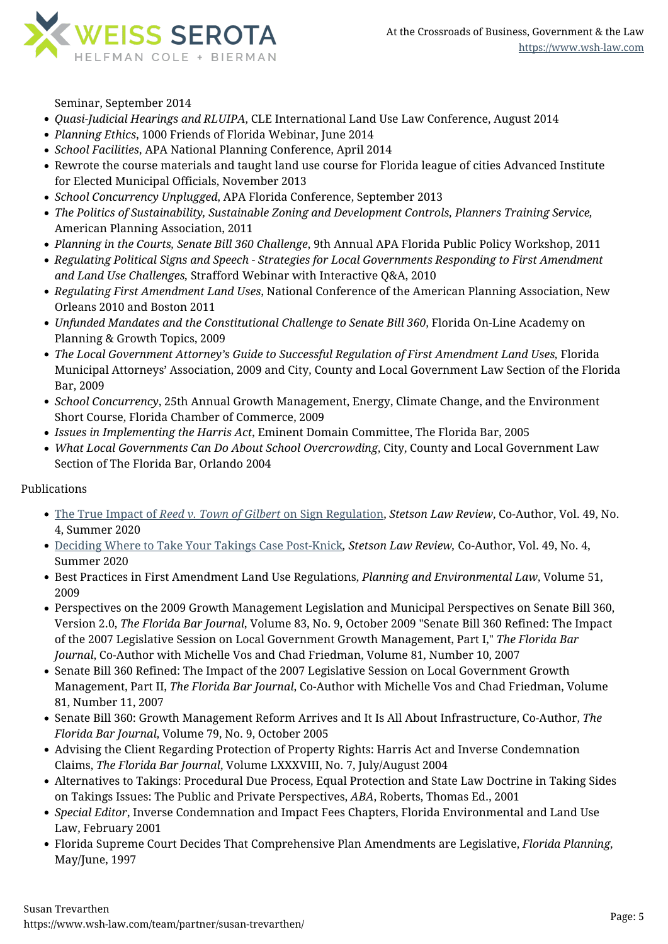

Seminar, September 2014

- *Quasi-Judicial Hearings and RLUIPA*, CLE International Land Use Law Conference, August 2014
- *Planning Ethics*, 1000 Friends of Florida Webinar, June 2014
- *School Facilities*, APA National Planning Conference, April 2014
- Rewrote the course materials and taught land use course for Florida league of cities Advanced Institute for Elected Municipal Officials, November 2013
- *School Concurrency Unplugged*, APA Florida Conference, September 2013
- *The Politics of Sustainability, Sustainable Zoning and Development Controls, Planners Training Service,* American Planning Association, 2011
- *Planning in the Courts, Senate Bill 360 Challenge*, 9th Annual APA Florida Public Policy Workshop, 2011
- *Regulating Political Signs and Speech Strategies for Local Governments Responding to First Amendment and Land Use Challenges,* Strafford Webinar with Interactive Q&A, 2010
- *Regulating First Amendment Land Uses*, National Conference of the American Planning Association, New Orleans 2010 and Boston 2011
- *Unfunded Mandates and the Constitutional Challenge to Senate Bill 360*, Florida On-Line Academy on Planning & Growth Topics, 2009
- *The Local Government Attorney's Guide to Successful Regulation of First Amendment Land Uses,* Florida Municipal Attorneys' Association, 2009 and City, County and Local Government Law Section of the Florida Bar, 2009
- *School Concurrency*, 25th Annual Growth Management, Energy, Climate Change, and the Environment Short Course, Florida Chamber of Commerce, 2009
- *Issues in Implementing the Harris Act*, Eminent Domain Committee, The Florida Bar, 2005
- *What Local Governments Can Do About School Overcrowding*, City, County and Local Government Law Section of The Florida Bar, Orlando 2004

### Publications

- [The True Impact of](https://www2.stetson.edu/law-review/article/the-true-impact-of-reed-v-town-of-gilbert-on-sign-regulation/) *[Reed v. Town of Gilbert](https://www2.stetson.edu/law-review/article/the-true-impact-of-reed-v-town-of-gilbert-on-sign-regulation/)* [on Sign Regulation,](https://www2.stetson.edu/law-review/article/the-true-impact-of-reed-v-town-of-gilbert-on-sign-regulation/) *Stetson Law Review*, Co-Author, Vol. 49, No. 4, Summer 2020
- [Deciding Where to Take Your Takings Case Post-Knick](https://www2.stetson.edu/law-review/article/deciding-where-to-take-your-takings-case-post-knick/)*, Stetson Law Review,* Co-Author, Vol. 49, No. 4, Summer 2020
- Best Practices in First Amendment Land Use Regulations, *Planning and Environmental Law*, Volume 51, 2009
- Perspectives on the 2009 Growth Management Legislation and Municipal Perspectives on Senate Bill 360, Version 2.0, *The Florida Bar Journal*, Volume 83, No. 9, October 2009 "Senate Bill 360 Refined: The Impact of the 2007 Legislative Session on Local Government Growth Management, Part I," *The Florida Bar Journal*, Co-Author with Michelle Vos and Chad Friedman, Volume 81, Number 10, 2007
- Senate Bill 360 Refined: The Impact of the 2007 Legislative Session on Local Government Growth Management, Part II, *The Florida Bar Journal*, Co-Author with Michelle Vos and Chad Friedman, Volume 81, Number 11, 2007
- Senate Bill 360: Growth Management Reform Arrives and It Is All About Infrastructure, Co-Author, *The Florida Bar Journal*, Volume 79, No. 9, October 2005
- Advising the Client Regarding Protection of Property Rights: Harris Act and Inverse Condemnation Claims, *The Florida Bar Journal*, Volume LXXXVIII, No. 7, July/August 2004
- Alternatives to Takings: Procedural Due Process, Equal Protection and State Law Doctrine in Taking Sides on Takings Issues: The Public and Private Perspectives, *ABA*, Roberts, Thomas Ed., 2001
- *Special Editor*, Inverse Condemnation and Impact Fees Chapters, Florida Environmental and Land Use Law, February 2001
- Florida Supreme Court Decides That Comprehensive Plan Amendments are Legislative, *Florida Planning*, May/June, 1997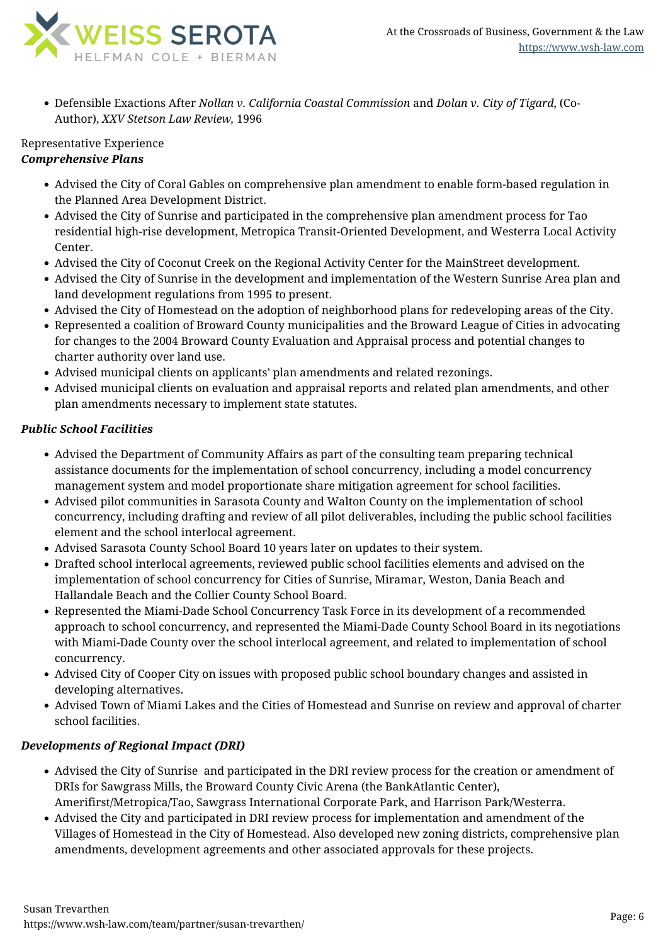

Defensible Exactions After *Nollan v. California Coastal Commission* and *Dolan v. City of Tigard*, (Co-Author), *XXV Stetson Law Review,* 1996

#### Representative Experience *Comprehensive Plans*

- Advised the City of Coral Gables on comprehensive plan amendment to enable form-based regulation in the Planned Area Development District.
- Advised the City of Sunrise and participated in the comprehensive plan amendment process for Tao residential high-rise development, Metropica Transit-Oriented Development, and Westerra Local Activity Center.
- Advised the City of Coconut Creek on the Regional Activity Center for the MainStreet development.
- Advised the City of Sunrise in the development and implementation of the Western Sunrise Area plan and land development regulations from 1995 to present.
- Advised the City of Homestead on the adoption of neighborhood plans for redeveloping areas of the City.
- Represented a coalition of Broward County municipalities and the Broward League of Cities in advocating for changes to the 2004 Broward County Evaluation and Appraisal process and potential changes to charter authority over land use.
- Advised municipal clients on applicants' plan amendments and related rezonings.
- Advised municipal clients on evaluation and appraisal reports and related plan amendments, and other plan amendments necessary to implement state statutes.

### *Public School Facilities*

- Advised the Department of Community Affairs as part of the consulting team preparing technical assistance documents for the implementation of school concurrency, including a model concurrency management system and model proportionate share mitigation agreement for school facilities.
- Advised pilot communities in Sarasota County and Walton County on the implementation of school concurrency, including drafting and review of all pilot deliverables, including the public school facilities element and the school interlocal agreement.
- Advised Sarasota County School Board 10 years later on updates to their system.
- Drafted school interlocal agreements, reviewed public school facilities elements and advised on the implementation of school concurrency for Cities of Sunrise, Miramar, Weston, Dania Beach and Hallandale Beach and the Collier County School Board.
- Represented the Miami-Dade School Concurrency Task Force in its development of a recommended approach to school concurrency, and represented the Miami-Dade County School Board in its negotiations with Miami-Dade County over the school interlocal agreement, and related to implementation of school concurrency.
- Advised City of Cooper City on issues with proposed public school boundary changes and assisted in developing alternatives.
- Advised Town of Miami Lakes and the Cities of Homestead and Sunrise on review and approval of charter school facilities.

### *Developments of Regional Impact (DRI)*

- Advised the City of Sunrise and participated in the DRI review process for the creation or amendment of DRIs for Sawgrass Mills, the Broward County Civic Arena (the BankAtlantic Center), Amerifirst/Metropica/Tao, Sawgrass International Corporate Park, and Harrison Park/Westerra.
- Advised the City and participated in DRI review process for implementation and amendment of the Villages of Homestead in the City of Homestead. Also developed new zoning districts, comprehensive plan amendments, development agreements and other associated approvals for these projects.